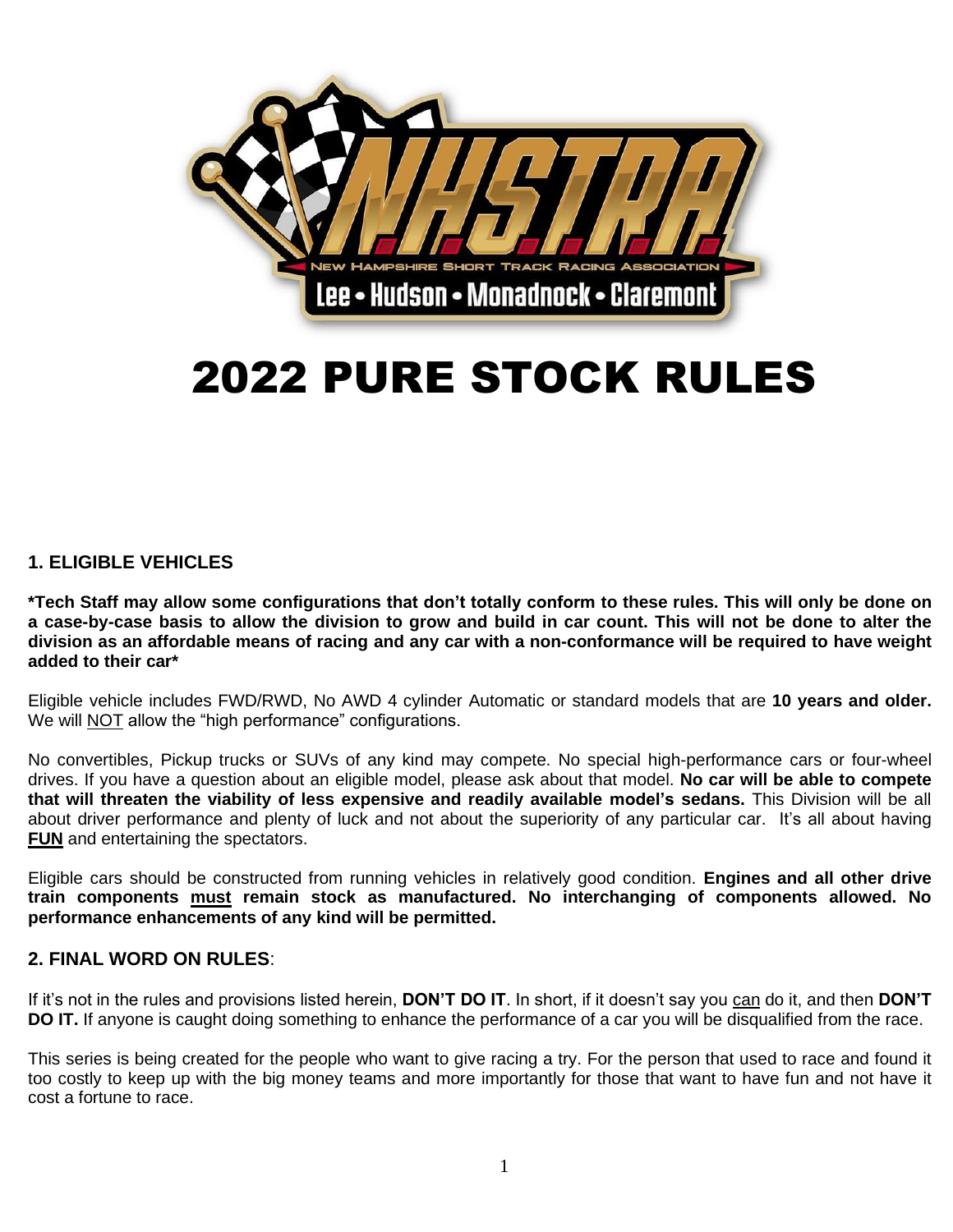

# 2022 PURE STOCK RULES

# **1. ELIGIBLE VEHICLES**

**\*Tech Staff may allow some configurations that don't totally conform to these rules. This will only be done on a case-by-case basis to allow the division to grow and build in car count. This will not be done to alter the division as an affordable means of racing and any car with a non-conformance will be required to have weight added to their car\***

Eligible vehicle includes FWD/RWD, No AWD 4 cylinder Automatic or standard models that are **10 years and older.** We will NOT allow the "high performance" configurations.

No convertibles, Pickup trucks or SUVs of any kind may compete. No special high-performance cars or four-wheel drives. If you have a question about an eligible model, please ask about that model. **No car will be able to compete that will threaten the viability of less expensive and readily available model's sedans.** This Division will be all about driver performance and plenty of luck and not about the superiority of any particular car. It's all about having **FUN** and entertaining the spectators.

Eligible cars should be constructed from running vehicles in relatively good condition. **Engines and all other drive train components must remain stock as manufactured. No interchanging of components allowed. No performance enhancements of any kind will be permitted.**

#### **2. FINAL WORD ON RULES**:

If it's not in the rules and provisions listed herein, **DON'T DO IT**. In short, if it doesn't say you can do it, and then **DON'T DO IT.** If anyone is caught doing something to enhance the performance of a car you will be disqualified from the race.

This series is being created for the people who want to give racing a try. For the person that used to race and found it too costly to keep up with the big money teams and more importantly for those that want to have fun and not have it cost a fortune to race.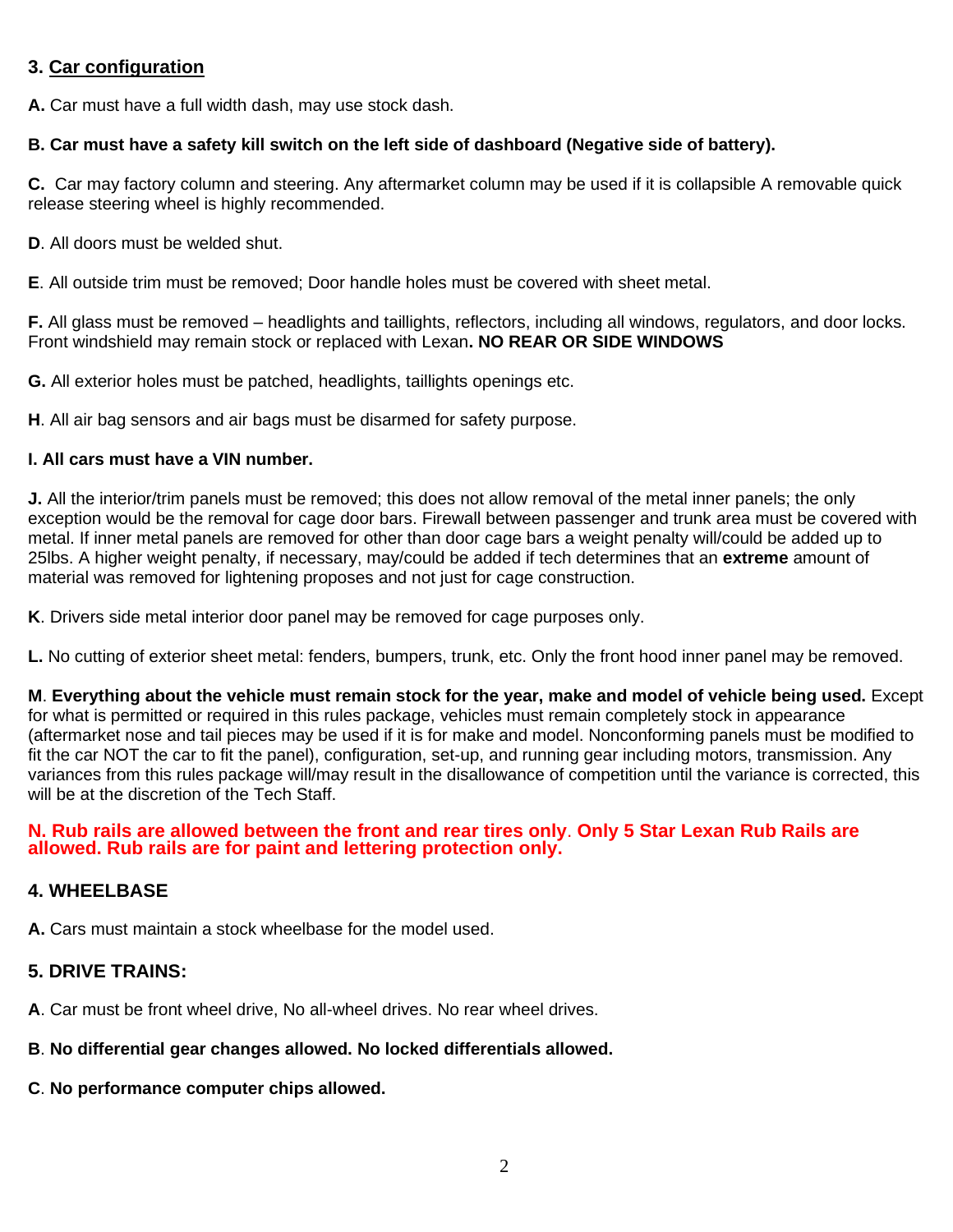# **3. Car configuration**

**A.** Car must have a full width dash, may use stock dash.

#### **B. Car must have a safety kill switch on the left side of dashboard (Negative side of battery).**

**C.** Car may factory column and steering. Any aftermarket column may be used if it is collapsible A removable quick release steering wheel is highly recommended.

**D**. All doors must be welded shut.

**E**. All outside trim must be removed; Door handle holes must be covered with sheet metal.

**F.** All glass must be removed – headlights and taillights, reflectors, including all windows, regulators, and door locks. Front windshield may remain stock or replaced with Lexan**. NO REAR OR SIDE WINDOWS**

**G.** All exterior holes must be patched, headlights, taillights openings etc.

**H**. All air bag sensors and air bags must be disarmed for safety purpose.

#### **I. All cars must have a VIN number.**

**J.** All the interior/trim panels must be removed; this does not allow removal of the metal inner panels; the only exception would be the removal for cage door bars. Firewall between passenger and trunk area must be covered with metal. If inner metal panels are removed for other than door cage bars a weight penalty will/could be added up to 25lbs. A higher weight penalty, if necessary, may/could be added if tech determines that an **extreme** amount of material was removed for lightening proposes and not just for cage construction.

**K**. Drivers side metal interior door panel may be removed for cage purposes only.

**L.** No cutting of exterior sheet metal: fenders, bumpers, trunk, etc. Only the front hood inner panel may be removed.

**M**. **Everything about the vehicle must remain stock for the year, make and model of vehicle being used.** Except for what is permitted or required in this rules package, vehicles must remain completely stock in appearance (aftermarket nose and tail pieces may be used if it is for make and model. Nonconforming panels must be modified to fit the car NOT the car to fit the panel), configuration, set-up, and running gear including motors, transmission. Any variances from this rules package will/may result in the disallowance of competition until the variance is corrected, this will be at the discretion of the Tech Staff.

#### **N. Rub rails are allowed between the front and rear tires only**. **Only 5 Star Lexan Rub Rails are allowed. Rub rails are for paint and lettering protection only.**

#### **4. WHEELBASE**

**A.** Cars must maintain a stock wheelbase for the model used.

#### **5. DRIVE TRAINS:**

**A**. Car must be front wheel drive, No all-wheel drives. No rear wheel drives.

# **B**. **No differential gear changes allowed. No locked differentials allowed.**

**C**. **No performance computer chips allowed.**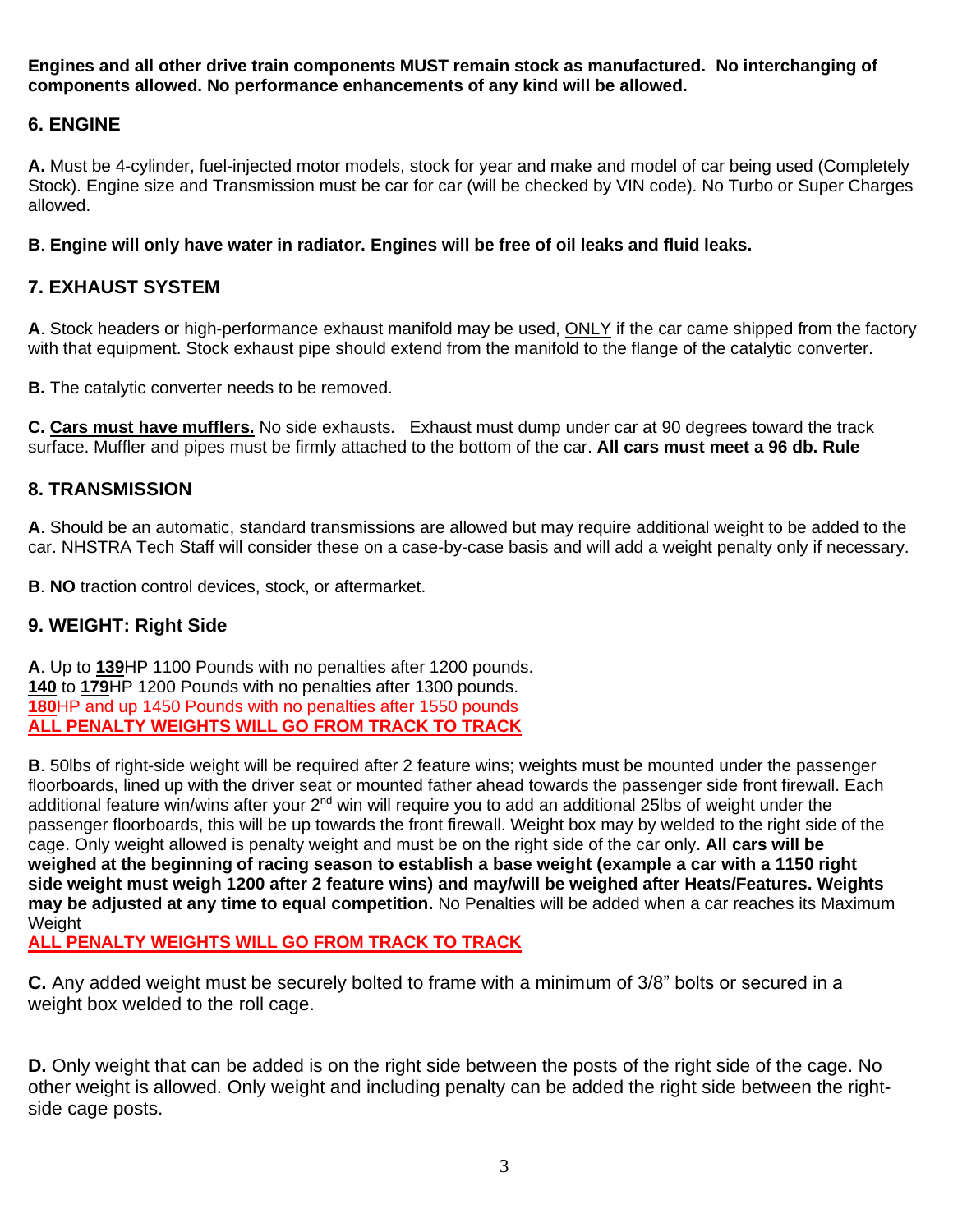**Engines and all other drive train components MUST remain stock as manufactured. No interchanging of components allowed. No performance enhancements of any kind will be allowed.**

# **6. ENGINE**

**A.** Must be 4-cylinder, fuel-injected motor models, stock for year and make and model of car being used (Completely Stock). Engine size and Transmission must be car for car (will be checked by VIN code). No Turbo or Super Charges allowed.

**B**. **Engine will only have water in radiator. Engines will be free of oil leaks and fluid leaks.** 

# **7. EXHAUST SYSTEM**

**A**. Stock headers or high-performance exhaust manifold may be used, ONLY if the car came shipped from the factory with that equipment. Stock exhaust pipe should extend from the manifold to the flange of the catalytic converter.

**B.** The catalytic converter needs to be removed.

**C. Cars must have mufflers.** No side exhausts. Exhaust must dump under car at 90 degrees toward the track surface. Muffler and pipes must be firmly attached to the bottom of the car. **All cars must meet a 96 db. Rule**

# **8. TRANSMISSION**

**A**. Should be an automatic, standard transmissions are allowed but may require additional weight to be added to the car. NHSTRA Tech Staff will consider these on a case-by-case basis and will add a weight penalty only if necessary.

**B**. **NO** traction control devices, stock, or aftermarket.

#### **9. WEIGHT: Right Side**

**A**. Up to **139**HP 1100 Pounds with no penalties after 1200 pounds. **140** to **179**HP 1200 Pounds with no penalties after 1300 pounds. **180**HP and up 1450 Pounds with no penalties after 1550 pounds **ALL PENALTY WEIGHTS WILL GO FROM TRACK TO TRACK**

**B**. 50lbs of right-side weight will be required after 2 feature wins; weights must be mounted under the passenger floorboards, lined up with the driver seat or mounted father ahead towards the passenger side front firewall. Each additional feature win/wins after your 2<sup>nd</sup> win will require you to add an additional 25lbs of weight under the passenger floorboards, this will be up towards the front firewall. Weight box may by welded to the right side of the cage. Only weight allowed is penalty weight and must be on the right side of the car only. **All cars will be weighed at the beginning of racing season to establish a base weight (example a car with a 1150 right side weight must weigh 1200 after 2 feature wins) and may/will be weighed after Heats/Features. Weights may be adjusted at any time to equal competition.** No Penalties will be added when a car reaches its Maximum **Weight** 

**ALL PENALTY WEIGHTS WILL GO FROM TRACK TO TRACK**

**C.** Any added weight must be securely bolted to frame with a minimum of 3/8" bolts or secured in a weight box welded to the roll cage.

**D.** Only weight that can be added is on the right side between the posts of the right side of the cage. No other weight is allowed. Only weight and including penalty can be added the right side between the rightside cage posts.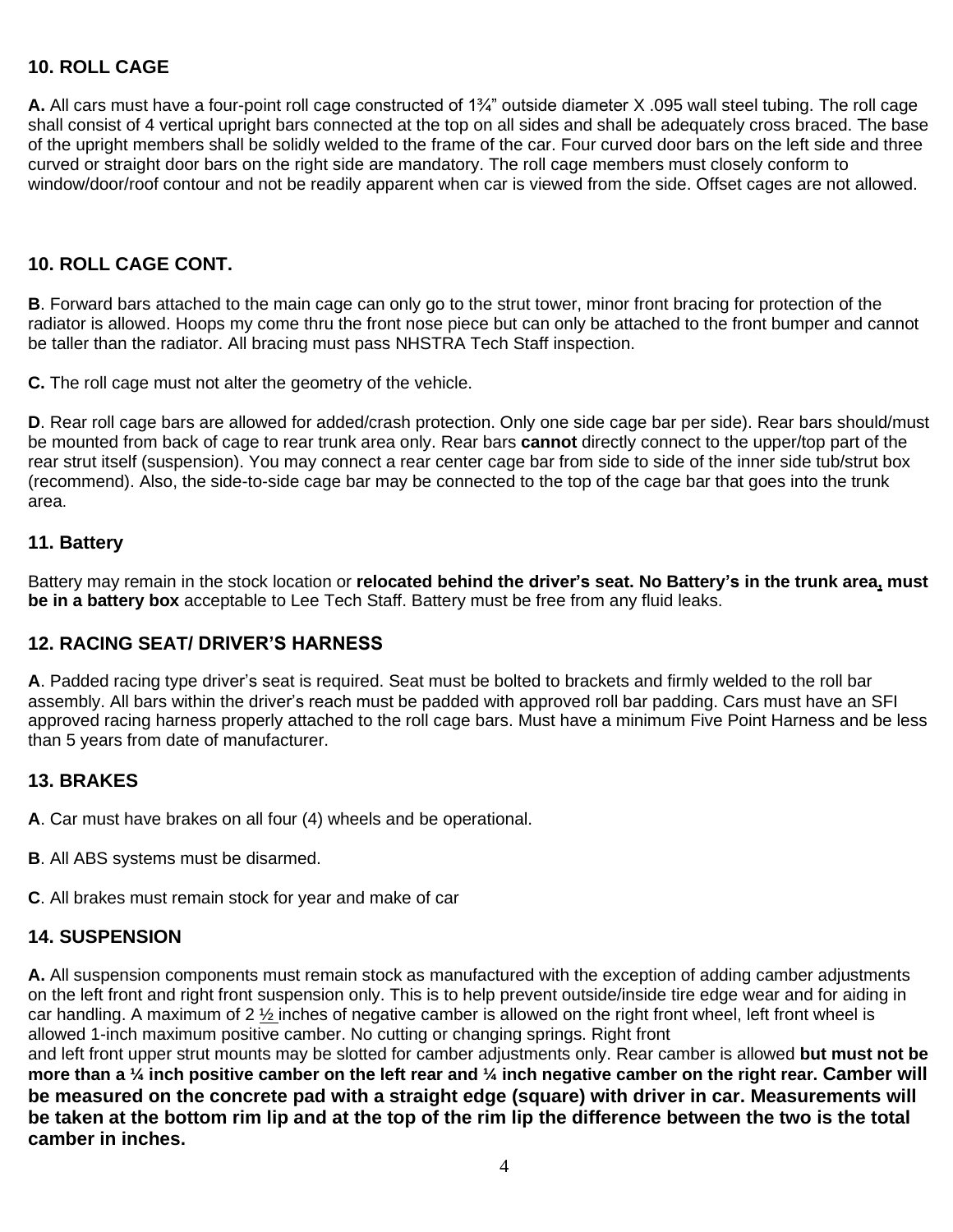# **10. ROLL CAGE**

**A.** All cars must have a four-point roll cage constructed of 1¾" outside diameter X .095 wall steel tubing. The roll cage shall consist of 4 vertical upright bars connected at the top on all sides and shall be adequately cross braced. The base of the upright members shall be solidly welded to the frame of the car. Four curved door bars on the left side and three curved or straight door bars on the right side are mandatory. The roll cage members must closely conform to window/door/roof contour and not be readily apparent when car is viewed from the side. Offset cages are not allowed.

# **10. ROLL CAGE CONT.**

**B**. Forward bars attached to the main cage can only go to the strut tower, minor front bracing for protection of the radiator is allowed. Hoops my come thru the front nose piece but can only be attached to the front bumper and cannot be taller than the radiator. All bracing must pass NHSTRA Tech Staff inspection.

**C.** The roll cage must not alter the geometry of the vehicle.

**D**. Rear roll cage bars are allowed for added/crash protection. Only one side cage bar per side). Rear bars should/must be mounted from back of cage to rear trunk area only. Rear bars **cannot** directly connect to the upper/top part of the rear strut itself (suspension). You may connect a rear center cage bar from side to side of the inner side tub/strut box (recommend). Also, the side-to-side cage bar may be connected to the top of the cage bar that goes into the trunk area.

#### **11. Battery**

Battery may remain in the stock location or **relocated behind the driver's seat. No Battery's in the trunk area, must be in a battery box** acceptable to Lee Tech Staff. Battery must be free from any fluid leaks.

# **12. RACING SEAT/ DRIVER'S HARNESS**

**A**. Padded racing type driver's seat is required. Seat must be bolted to brackets and firmly welded to the roll bar assembly. All bars within the driver's reach must be padded with approved roll bar padding. Cars must have an SFI approved racing harness properly attached to the roll cage bars. Must have a minimum Five Point Harness and be less than 5 years from date of manufacturer.

# **13. BRAKES**

**A**. Car must have brakes on all four (4) wheels and be operational.

- **B**. All ABS systems must be disarmed.
- **C**. All brakes must remain stock for year and make of car

#### **14. SUSPENSION**

**A.** All suspension components must remain stock as manufactured with the exception of adding camber adjustments on the left front and right front suspension only. This is to help prevent outside/inside tire edge wear and for aiding in car handling. A maximum of 2  $\frac{1}{2}$  inches of negative camber is allowed on the right front wheel, left front wheel is allowed 1-inch maximum positive camber. No cutting or changing springs. Right front

and left front upper strut mounts may be slotted for camber adjustments only. Rear camber is allowed **but must not be more than a ¼ inch positive camber on the left rear and ¼ inch negative camber on the right rear. Camber will be measured on the concrete pad with a straight edge (square) with driver in car. Measurements will be taken at the bottom rim lip and at the top of the rim lip the difference between the two is the total camber in inches.**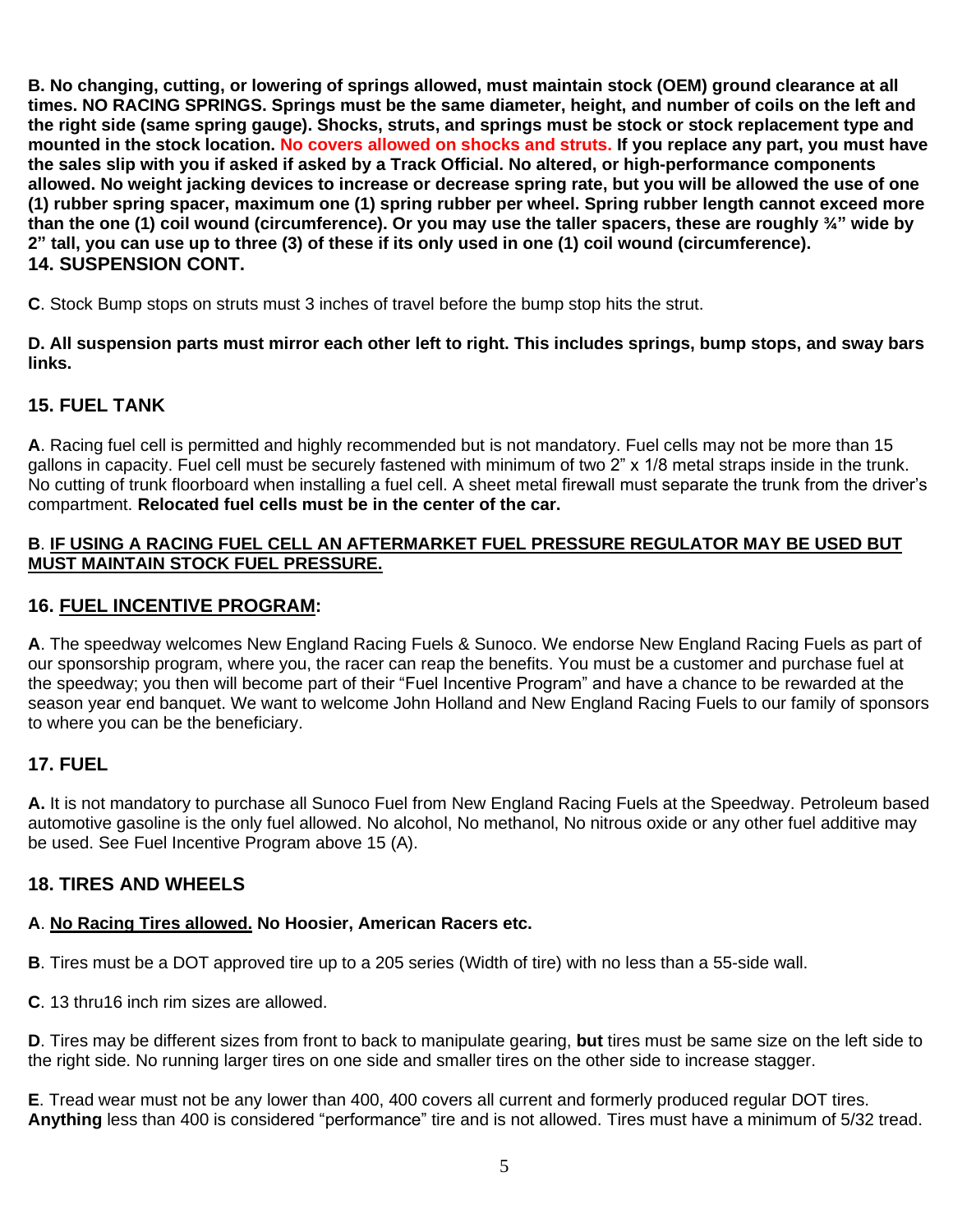**B. No changing, cutting, or lowering of springs allowed, must maintain stock (OEM) ground clearance at all times. NO RACING SPRINGS. Springs must be the same diameter, height, and number of coils on the left and the right side (same spring gauge). Shocks, struts, and springs must be stock or stock replacement type and mounted in the stock location. No covers allowed on shocks and struts. If you replace any part, you must have the sales slip with you if asked if asked by a Track Official. No altered, or high-performance components allowed. No weight jacking devices to increase or decrease spring rate, but you will be allowed the use of one (1) rubber spring spacer, maximum one (1) spring rubber per wheel. Spring rubber length cannot exceed more than the one (1) coil wound (circumference). Or you may use the taller spacers, these are roughly ¾" wide by 2" tall, you can use up to three (3) of these if its only used in one (1) coil wound (circumference). 14. SUSPENSION CONT.**

**C**. Stock Bump stops on struts must 3 inches of travel before the bump stop hits the strut.

**D. All suspension parts must mirror each other left to right. This includes springs, bump stops, and sway bars links.**

# **15. FUEL TANK**

**A**. Racing fuel cell is permitted and highly recommended but is not mandatory. Fuel cells may not be more than 15 gallons in capacity. Fuel cell must be securely fastened with minimum of two 2" x 1/8 metal straps inside in the trunk. No cutting of trunk floorboard when installing a fuel cell. A sheet metal firewall must separate the trunk from the driver's compartment. **Relocated fuel cells must be in the center of the car.**

#### **B**. **IF USING A RACING FUEL CELL AN AFTERMARKET FUEL PRESSURE REGULATOR MAY BE USED BUT MUST MAINTAIN STOCK FUEL PRESSURE.**

# **16. FUEL INCENTIVE PROGRAM:**

**A**. The speedway welcomes New England Racing Fuels & Sunoco. We endorse New England Racing Fuels as part of our sponsorship program, where you, the racer can reap the benefits. You must be a customer and purchase fuel at the speedway; you then will become part of their "Fuel Incentive Program" and have a chance to be rewarded at the season year end banquet. We want to welcome John Holland and New England Racing Fuels to our family of sponsors to where you can be the beneficiary.

# **17. FUEL**

**A.** It is not mandatory to purchase all Sunoco Fuel from New England Racing Fuels at the Speedway. Petroleum based automotive gasoline is the only fuel allowed. No alcohol, No methanol, No nitrous oxide or any other fuel additive may be used. See Fuel Incentive Program above 15 (A).

# **18. TIRES AND WHEELS**

# **A**. **No Racing Tires allowed. No Hoosier, American Racers etc.**

**B**. Tires must be a DOT approved tire up to a 205 series (Width of tire) with no less than a 55-side wall.

**C**. 13 thru16 inch rim sizes are allowed.

**D**. Tires may be different sizes from front to back to manipulate gearing, **but** tires must be same size on the left side to the right side. No running larger tires on one side and smaller tires on the other side to increase stagger.

**E**. Tread wear must not be any lower than 400, 400 covers all current and formerly produced regular DOT tires. **Anything** less than 400 is considered "performance" tire and is not allowed. Tires must have a minimum of 5/32 tread.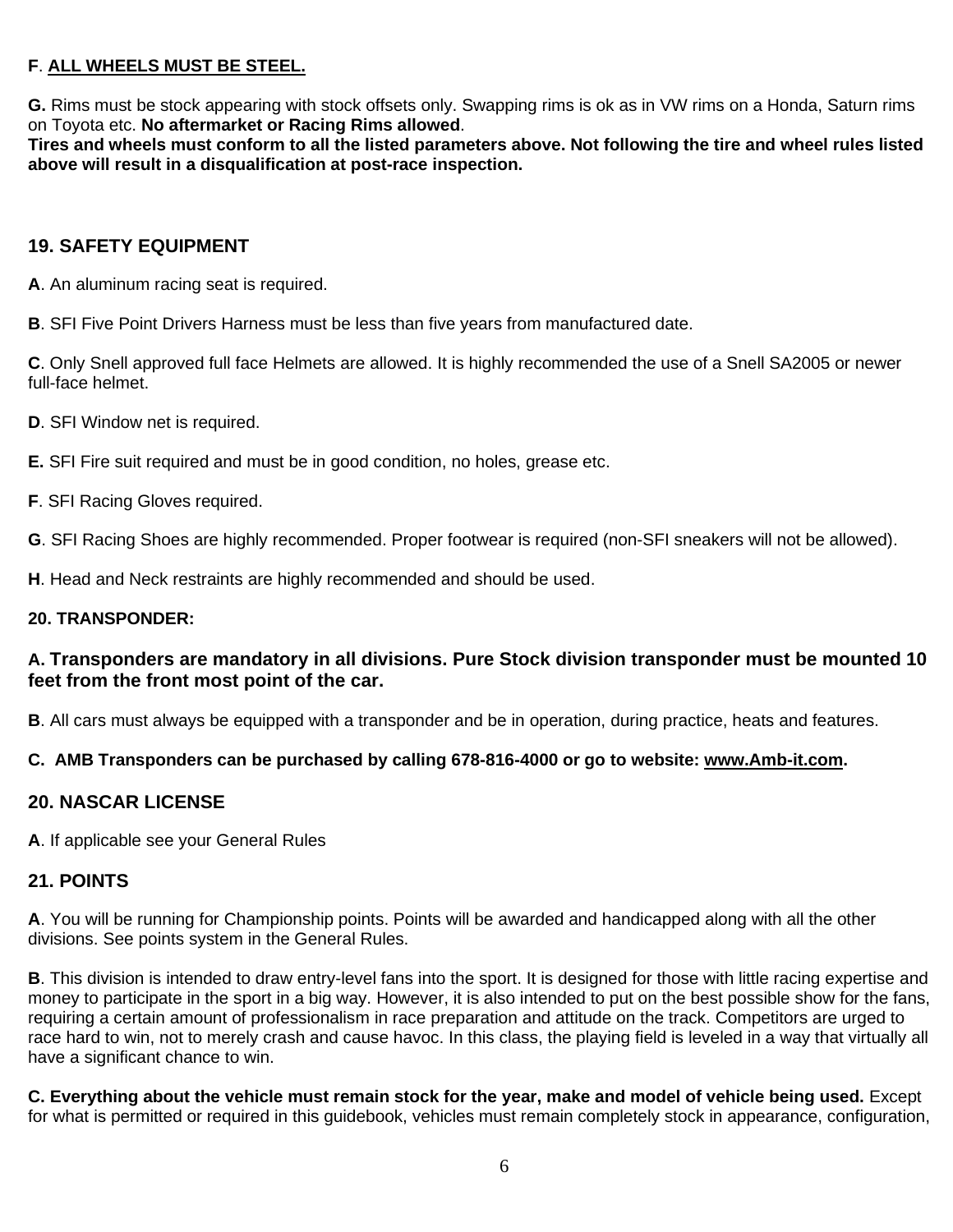# **F**. **ALL WHEELS MUST BE STEEL.**

**G.** Rims must be stock appearing with stock offsets only. Swapping rims is ok as in VW rims on a Honda, Saturn rims on Toyota etc. **No aftermarket or Racing Rims allowed**.

**Tires and wheels must conform to all the listed parameters above. Not following the tire and wheel rules listed above will result in a disqualification at post-race inspection.**

# **19. SAFETY EQUIPMENT**

**A**. An aluminum racing seat is required.

**B**. SFI Five Point Drivers Harness must be less than five years from manufactured date.

**C**. Only Snell approved full face Helmets are allowed. It is highly recommended the use of a Snell SA2005 or newer full-face helmet.

**D.** SFI Window net is required.

**E.** SFI Fire suit required and must be in good condition, no holes, grease etc.

**F**. SFI Racing Gloves required.

**G**. SFI Racing Shoes are highly recommended. Proper footwear is required (non-SFI sneakers will not be allowed).

**H**. Head and Neck restraints are highly recommended and should be used.

#### **20. TRANSPONDER:**

# **A. Transponders are mandatory in all divisions. Pure Stock division transponder must be mounted 10 feet from the front most point of the car.**

**B**. All cars must always be equipped with a transponder and be in operation, during practice, heats and features.

#### **C. AMB Transponders can be purchased by calling 678-816-4000 or go to website: [www.Amb-it.com.](http://www.amb-it.com/)**

#### **20. NASCAR LICENSE**

**A**. If applicable see your General Rules

# **21. POINTS**

**A**. You will be running for Championship points. Points will be awarded and handicapped along with all the other divisions. See points system in the General Rules.

**B**. This division is intended to draw entry-level fans into the sport. It is designed for those with little racing expertise and money to participate in the sport in a big way. However, it is also intended to put on the best possible show for the fans, requiring a certain amount of professionalism in race preparation and attitude on the track. Competitors are urged to race hard to win, not to merely crash and cause havoc. In this class, the playing field is leveled in a way that virtually all have a significant chance to win.

**C. Everything about the vehicle must remain stock for the year, make and model of vehicle being used.** Except for what is permitted or required in this guidebook, vehicles must remain completely stock in appearance, configuration,